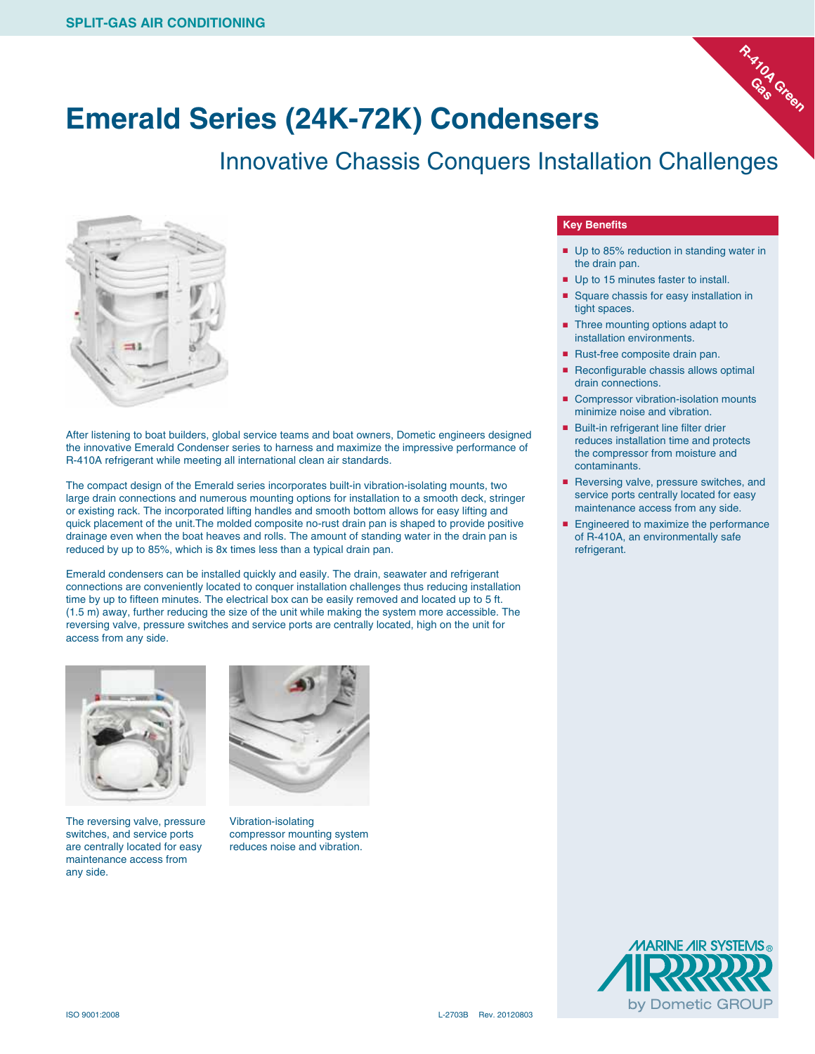

#### **Emerald Series (24K-72K) Condensers**

Innovative Chassis Conquers Installation Challenges



After listening to boat builders, global service teams and boat owners, Dometic engineers designed the innovative Emerald Condenser series to harness and maximize the impressive performance of R-410A refrigerant while meeting all international clean air standards.

The compact design of the Emerald series incorporates built-in vibration-isolating mounts, two large drain connections and numerous mounting options for installation to a smooth deck, stringer or existing rack. The incorporated lifting handles and smooth bottom allows for easy lifting and quick placement of the unit.The molded composite no-rust drain pan is shaped to provide positive drainage even when the boat heaves and rolls. The amount of standing water in the drain pan is reduced by up to 85%, which is 8x times less than a typical drain pan.

Emerald condensers can be installed quickly and easily. The drain, seawater and refrigerant connections are conveniently located to conquer installation challenges thus reducing installation time by up to fifteen minutes. The electrical box can be easily removed and located up to 5 ft. (1.5 m) away, further reducing the size of the unit while making the system more accessible. The reversing valve, pressure switches and service ports are centrally located, high on the unit for access from any side.



The reversing valve, pressure switches, and service ports are centrally located for easy maintenance access from any side.



Vibration-isolating compressor mounting system reduces noise and vibration.

#### **Key Benefits**

- Up to 85% reduction in standing water in the drain pan.
- Up to 15 minutes faster to install.
- Square chassis for easy installation in tight spaces.
- Three mounting options adapt to installation environments.
- Rust-free composite drain pan.
- Reconfigurable chassis allows optimal drain connections.
- Compressor vibration-isolation mounts minimize noise and vibration.
- Built-in refrigerant line filter drier reduces installation time and protects the compressor from moisture and contaminants.
- Reversing valve, pressure switches, and service ports centrally located for easy maintenance access from any side.
- Engineered to maximize the performance of R-410A, an environmentally safe refrigerant.